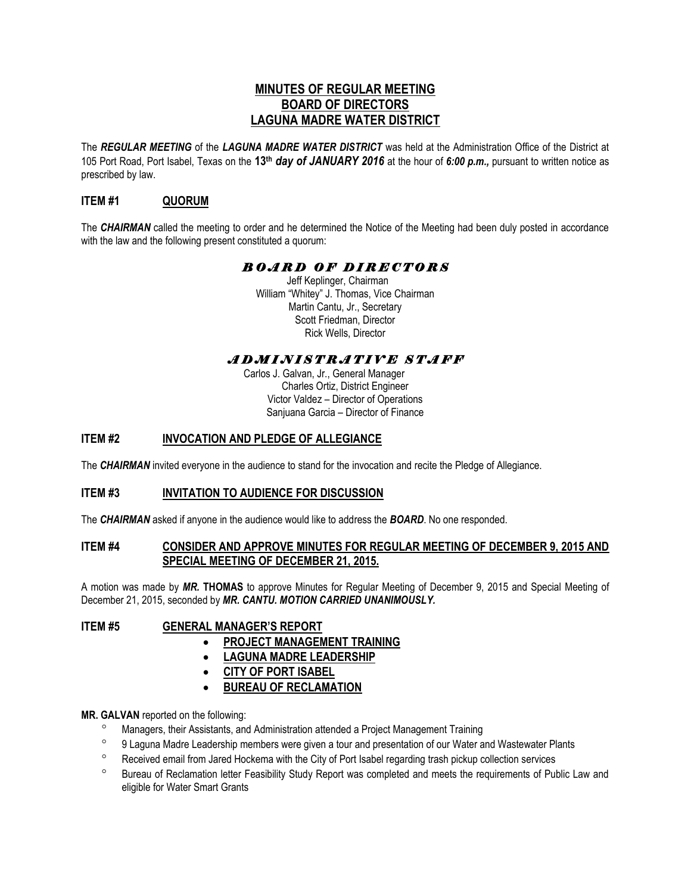# **MINUTES OF REGULAR MEETING BOARD OF DIRECTORS LAGUNA MADRE WATER DISTRICT**

The *REGULAR MEETING* of the *LAGUNA MADRE WATER DISTRICT* was held at the Administration Office of the District at 105 Port Road, Port Isabel, Texas on the **13th** *day of JANUARY 2016* at the hour of *6:00 p.m.,* pursuant to written notice as prescribed by law.

## **ITEM #1 QUORUM**

The *CHAIRMAN* called the meeting to order and he determined the Notice of the Meeting had been duly posted in accordance with the law and the following present constituted a quorum:

# *B O A R D O F D I R E C T O R S*

Jeff Keplinger, Chairman William "Whitey" J. Thomas, Vice Chairman Martin Cantu, Jr., Secretary Scott Friedman, Director Rick Wells, Director

# *A D M I N I S T R A T I V E S T A F F*

 Carlos J. Galvan, Jr., General Manager Charles Ortiz, District Engineer Victor Valdez – Director of Operations Sanjuana Garcia – Director of Finance

## **ITEM #2 INVOCATION AND PLEDGE OF ALLEGIANCE**

The *CHAIRMAN* invited everyone in the audience to stand for the invocation and recite the Pledge of Allegiance.

## **ITEM #3 INVITATION TO AUDIENCE FOR DISCUSSION**

The *CHAIRMAN* asked if anyone in the audience would like to address the *BOARD*. No one responded.

#### **ITEM #4 CONSIDER AND APPROVE MINUTES FOR REGULAR MEETING OF DECEMBER 9, 2015 AND SPECIAL MEETING OF DECEMBER 21, 2015.**

A motion was made by *MR.* **THOMAS** to approve Minutes for Regular Meeting of December 9, 2015 and Special Meeting of December 21, 2015, seconded by *MR. CANTU. MOTION CARRIED UNANIMOUSLY.* 

#### **ITEM #5 GENERAL MANAGER'S REPORT**

- **PROJECT MANAGEMENT TRAINING**
- **LAGUNA MADRE LEADERSHIP**
- **CITY OF PORT ISABEL**
- **BUREAU OF RECLAMATION**

#### **MR. GALVAN** reported on the following:

- Managers, their Assistants, and Administration attended a Project Management Training
- <sup>o</sup> 9 Laguna Madre Leadership members were given a tour and presentation of our Water and Wastewater Plants
- <sup>o</sup> Received email from Jared Hockema with the City of Port Isabel regarding trash pickup collection services
- <sup>o</sup> Bureau of Reclamation letter Feasibility Study Report was completed and meets the requirements of Public Law and eligible for Water Smart Grants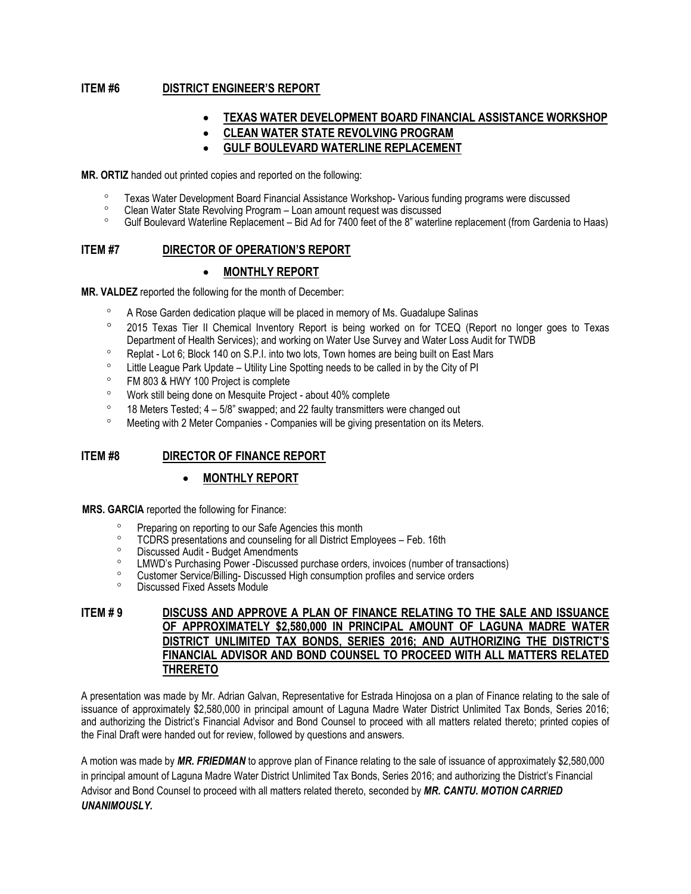### **ITEM #6 DISTRICT ENGINEER'S REPORT**

### **TEXAS WATER DEVELOPMENT BOARD FINANCIAL ASSISTANCE WORKSHOP**

**CLEAN WATER STATE REVOLVING PROGRAM** 

### **GULF BOULEVARD WATERLINE REPLACEMENT**

**MR. ORTIZ** handed out printed copies and reported on the following:

- <sup>o</sup> Texas Water Development Board Financial Assistance Workshop-Various funding programs were discussed<br>
Clean Water State Revolving Program Loan amount request was discussed
- <sup>o</sup> Clean Water State Revolving Program Loan amount request was discussed<br>Cult Boulevard Waterline Replacement Bid Ad for 7400 feet of the 8<sup>n</sup> waterline
- Gulf Boulevard Waterline Replacement Bid Ad for 7400 feet of the 8" waterline replacement (from Gardenia to Haas)

## **ITEM #7 DIRECTOR OF OPERATION'S REPORT**

#### **MONTHLY REPORT**

**MR. VALDEZ** reported the following for the month of December:

- <sup>o</sup> A Rose Garden dedication plaque will be placed in memory of Ms. Guadalupe Salinas
- 2015 Texas Tier II Chemical Inventory Report is being worked on for TCEQ (Report no longer goes to Texas Department of Health Services); and working on Water Use Survey and Water Loss Audit for TWDB
- <sup>o</sup> Replat Lot 6; Block 140 on S.P.I. into two lots, Town homes are being built on East Mars
- ° Little League Park Update Utility Line Spotting needs to be called in by the City of PI<br>○ EM 803 & HWY 100 Project is complete
- FM 803 & HWY 100 Project is complete
- Work still being done on Mesquite Project about 40% complete
- <sup>o</sup> 18 Meters Tested;  $4 5/8$ " swapped; and 22 faulty transmitters were changed out
- Meeting with 2 Meter Companies Companies will be giving presentation on its Meters.

## **ITEM #8 DIRECTOR OF FINANCE REPORT**

#### **MONTHLY REPORT**

**MRS. GARCIA** reported the following for Finance:

- Preparing on reporting to our Safe Agencies this month
- <sup>o</sup> TCDRS presentations and counseling for all District Employees Feb. 16th
- <sup>o</sup> Discussed Audit Budget Amendments
- <sup>o</sup> LMWD's Purchasing Power -Discussed purchase orders, invoices (number of transactions)
- <sup>o</sup> Customer Service/Billing-Discussed High consumption profiles and service orders
- Discussed Fixed Assets Module

#### **ITEM # 9 DISCUSS AND APPROVE A PLAN OF FINANCE RELATING TO THE SALE AND ISSUANCE OF APPROXIMATELY \$2,580,000 IN PRINCIPAL AMOUNT OF LAGUNA MADRE WATER DISTRICT UNLIMITED TAX BONDS, SERIES 2016; AND AUTHORIZING THE DISTRICT'S FINANCIAL ADVISOR AND BOND COUNSEL TO PROCEED WITH ALL MATTERS RELATED THRERETO**

A presentation was made by Mr. Adrian Galvan, Representative for Estrada Hinojosa on a plan of Finance relating to the sale of issuance of approximately \$2,580,000 in principal amount of Laguna Madre Water District Unlimited Tax Bonds, Series 2016; and authorizing the District's Financial Advisor and Bond Counsel to proceed with all matters related thereto; printed copies of the Final Draft were handed out for review, followed by questions and answers.

A motion was made by *MR. FRIEDMAN* to approve plan of Finance relating to the sale of issuance of approximately \$2,580,000 in principal amount of Laguna Madre Water District Unlimited Tax Bonds, Series 2016; and authorizing the District's Financial Advisor and Bond Counsel to proceed with all matters related thereto, seconded by *MR. CANTU. MOTION CARRIED UNANIMOUSLY.*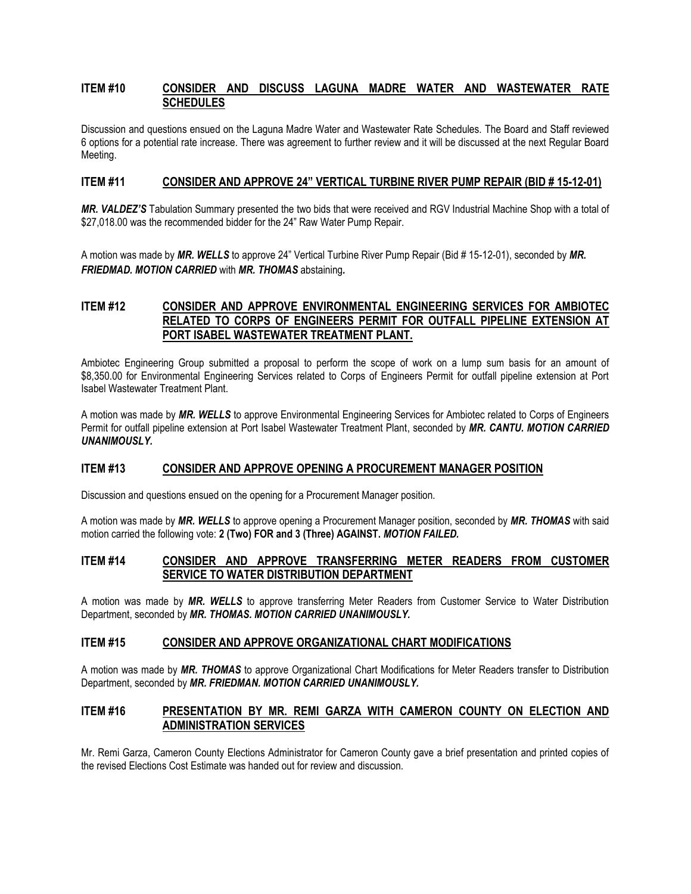#### **ITEM #10 CONSIDER AND DISCUSS LAGUNA MADRE WATER AND WASTEWATER RATE SCHEDULES**

Discussion and questions ensued on the Laguna Madre Water and Wastewater Rate Schedules. The Board and Staff reviewed 6 options for a potential rate increase. There was agreement to further review and it will be discussed at the next Regular Board Meeting.

#### **ITEM #11 CONSIDER AND APPROVE 24" VERTICAL TURBINE RIVER PUMP REPAIR (BID # 15-12-01)**

*MR. VALDEZ'S* Tabulation Summary presented the two bids that were received and RGV Industrial Machine Shop with a total of \$27,018.00 was the recommended bidder for the 24" Raw Water Pump Repair.

A motion was made by *MR. WELLS* to approve 24" Vertical Turbine River Pump Repair (Bid # 15-12-01), seconded by *MR. FRIEDMAD. MOTION CARRIED* with *MR. THOMAS* abstaining*.*

### **ITEM #12 CONSIDER AND APPROVE ENVIRONMENTAL ENGINEERING SERVICES FOR AMBIOTEC RELATED TO CORPS OF ENGINEERS PERMIT FOR OUTFALL PIPELINE EXTENSION AT PORT ISABEL WASTEWATER TREATMENT PLANT.**

Ambiotec Engineering Group submitted a proposal to perform the scope of work on a lump sum basis for an amount of \$8,350.00 for Environmental Engineering Services related to Corps of Engineers Permit for outfall pipeline extension at Port Isabel Wastewater Treatment Plant.

A motion was made by *MR. WELLS* to approve Environmental Engineering Services for Ambiotec related to Corps of Engineers Permit for outfall pipeline extension at Port Isabel Wastewater Treatment Plant, seconded by *MR. CANTU. MOTION CARRIED UNANIMOUSLY.* 

#### **ITEM #13 CONSIDER AND APPROVE OPENING A PROCUREMENT MANAGER POSITION**

Discussion and questions ensued on the opening for a Procurement Manager position.

A motion was made by *MR. WELLS* to approve opening a Procurement Manager position, seconded by *MR. THOMAS* with said motion carried the following vote: **2 (Two) FOR and 3 (Three) AGAINST.** *MOTION FAILED.*

#### **ITEM #14 CONSIDER AND APPROVE TRANSFERRING METER READERS FROM CUSTOMER SERVICE TO WATER DISTRIBUTION DEPARTMENT**

A motion was made by *MR. WELLS* to approve transferring Meter Readers from Customer Service to Water Distribution Department, seconded by *MR. THOMAS. MOTION CARRIED UNANIMOUSLY.*

#### **ITEM #15 CONSIDER AND APPROVE ORGANIZATIONAL CHART MODIFICATIONS**

A motion was made by *MR. THOMAS* to approve Organizational Chart Modifications for Meter Readers transfer to Distribution Department, seconded by *MR. FRIEDMAN. MOTION CARRIED UNANIMOUSLY.*

### **ITEM #16 PRESENTATION BY MR. REMI GARZA WITH CAMERON COUNTY ON ELECTION AND ADMINISTRATION SERVICES**

Mr. Remi Garza, Cameron County Elections Administrator for Cameron County gave a brief presentation and printed copies of the revised Elections Cost Estimate was handed out for review and discussion.